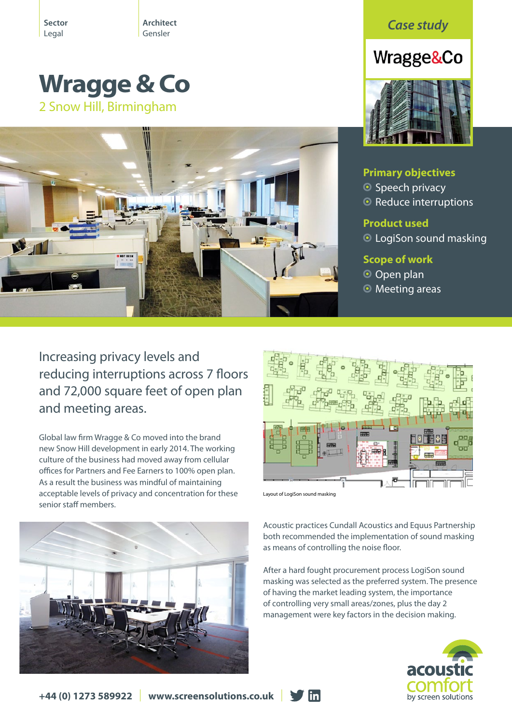**Sector** Legal

**Architect** 

# **Wragge & Co** 2 Snow Hill, Birmingham



Architect **Case study**<br>Gensler

# Wragge&Co



# **Primary objectives**

**O** Speech privacy

<sup>O</sup> Reduce interruptions

## **Product used**

LogiSon sound masking

### **Scope of work**

- O Open plan
- **O** Meeting areas

Increasing privacy levels and reducing interruptions across 7 floors and 72,000 square feet of open plan and meeting areas.

Global law firm Wragge & Co moved into the brand new Snow Hill development in early 2014. The working culture of the business had moved away from cellular offices for Partners and Fee Earners to 100% open plan. As a result the business was mindful of maintaining acceptable levels of privacy and concentration for these senior staff members.



Layout of LogiSon sound masking

 $\blacksquare$ 

Acoustic practices Cundall Acoustics and Equus Partnership both recommended the implementation of sound masking as means of controlling the noise floor.

After a hard fought procurement process LogiSon sound masking was selected as the preferred system. The presence of having the market leading system, the importance of controlling very small areas/zones, plus the day 2 management were key factors in the decision making.